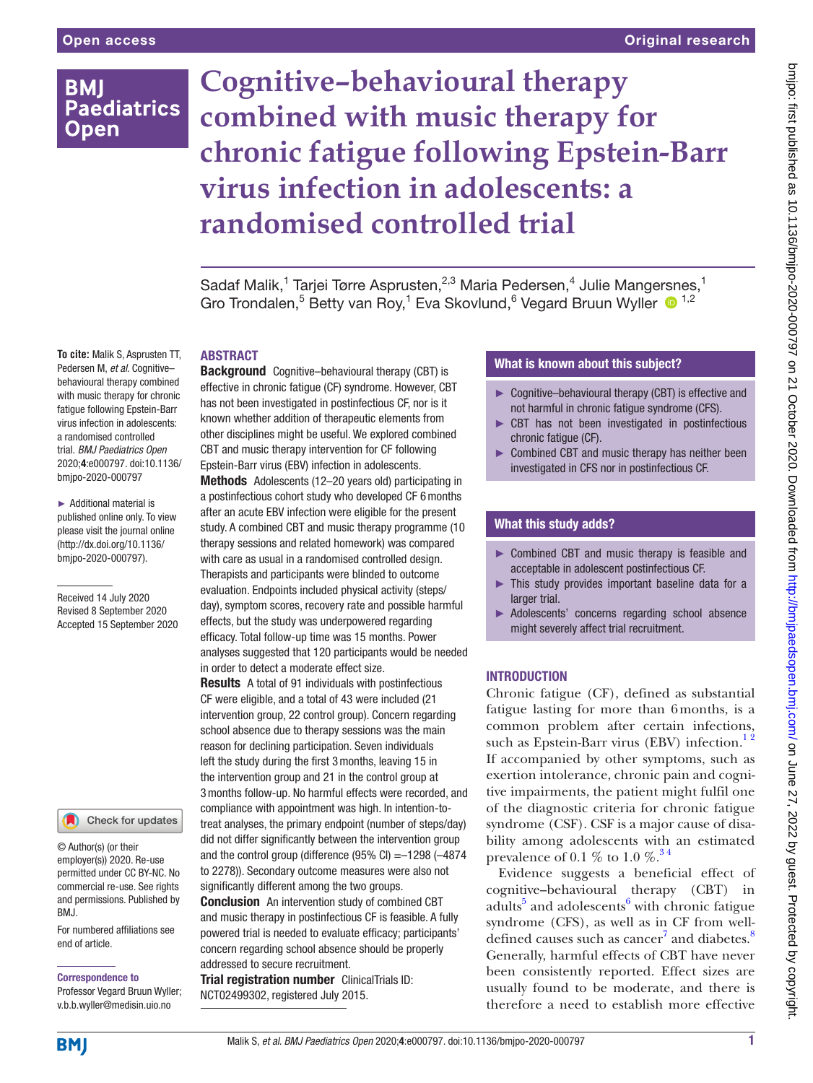# **BMI Paediatrics Open**

# **Cognitive–behavioural therapy combined with music therapy for chronic fatigue following Epstein-Barr virus infection in adolescents: a randomised controlled trial**

Sadaf Malik,<sup>1</sup> Tarjei Tørre Asprusten,<sup>2,3</sup> Maria Pedersen,<sup>4</sup> Julie Mangersnes,<sup>1</sup> Gro Trondalen,<sup>5</sup> Betty van Roy,<sup>1</sup> Eva Skovlund,<sup>6</sup> Vegard Bruun Wyller <sup>1,2</sup>

# **ABSTRACT**

**To cite:** Malik S, Asprusten TT, Pedersen M, *et al*. Cognitive– behavioural therapy combined with music therapy for chronic fatigue following Epstein-Barr virus infection in adolescents: a randomised controlled trial. *BMJ Paediatrics Open* 2020;4:e000797. doi:10.1136/ bmjpo-2020-000797

► Additional material is published online only. To view please visit the journal online (http://dx.doi.org/10.1136/ bmjpo-2020-000797).

Received 14 July 2020 Revised 8 September 2020 Accepted 15 September 2020

Check for updates

© Author(s) (or their employer(s)) 2020. Re-use permitted under CC BY-NC. No commercial re-use. See rights and permissions. Published by BMJ.

For numbered affiliations see end of article.

Correspondence to

Professor Vegard Bruun Wyller; v.b.b.wyller@medisin.uio.no

**Background** Cognitive–behavioural therapy (CBT) is effective in chronic fatigue (CF) syndrome. However, CBT has not been investigated in postinfectious CF, nor is it known whether addition of therapeutic elements from other disciplines might be useful. We explored combined CBT and music therapy intervention for CF following Epstein-Barr virus (EBV) infection in adolescents.

Methods Adolescents (12–20 years old) participating in a postinfectious cohort study who developed CF 6months after an acute EBV infection were eligible for the present study. A combined CBT and music therapy programme (10 therapy sessions and related homework) was compared with care as usual in a randomised controlled design. Therapists and participants were blinded to outcome evaluation. Endpoints included physical activity (steps/ day), symptom scores, recovery rate and possible harmful effects, but the study was underpowered regarding efficacy. Total follow-up time was 15 months. Power analyses suggested that 120 participants would be needed in order to detect a moderate effect size.

Results A total of 91 individuals with postinfectious CF were eligible, and a total of 43 were included (21 intervention group, 22 control group). Concern regarding school absence due to therapy sessions was the main reason for declining participation. Seven individuals left the study during the first 3months, leaving 15 in the intervention group and 21 in the control group at 3months follow-up. No harmful effects were recorded, and compliance with appointment was high. In intention-totreat analyses, the primary endpoint (number of steps/day) did not differ significantly between the intervention group and the control group (difference  $(95\% \text{ Cl}) = -1298 (-4874)$ to 2278)). Secondary outcome measures were also not significantly different among the two groups.

**Conclusion** An intervention study of combined CBT and music therapy in postinfectious CF is feasible. A fully powered trial is needed to evaluate efficacy; participants' concern regarding school absence should be properly addressed to secure recruitment.

Trial registration number ClinicalTrials ID: <NCT02499302>, registered July 2015.

# What is known about this subject?

- ► Cognitive–behavioural therapy (CBT) is effective and not harmful in chronic fatigue syndrome (CFS).
- ► CBT has not been investigated in postinfectious chronic fatigue (CF).
- ► Combined CBT and music therapy has neither been investigated in CFS nor in postinfectious CF.

# What this study adds?

- ► Combined CBT and music therapy is feasible and acceptable in adolescent postinfectious CF.
- ► This study provides important baseline data for a larger trial.
- ► Adolescents' concerns regarding school absence might severely affect trial recruitment.

# **INTRODUCTION**

Chronic fatigue (CF), defined as substantial fatigue lasting for more than 6months, is a common problem after certain infections, such as Epstein-Barr virus (EBV) infection.<sup>12</sup> If accompanied by other symptoms, such as exertion intolerance, chronic pain and cognitive impairments, the patient might fulfil one of the diagnostic criteria for chronic fatigue syndrome (CSF). CSF is a major cause of disability among adolescents with an estimated prevalence of 0.1 % to 1.0 %.<sup>34</sup>

Evidence suggests a beneficial effect of cognitive–behavioural therapy (CBT) in adults<sup>5</sup> and adolescents<sup>[6](#page-9-0)</sup> with chronic fatigue syndrome (CFS), as well as in CF from well-defined causes such as cancer<sup>[7](#page-9-1)</sup> and diabetes.<sup>[8](#page-9-2)</sup> Generally, harmful effects of CBT have never been consistently reported. Effect sizes are usually found to be moderate, and there is therefore a need to establish more effective

**BMJ**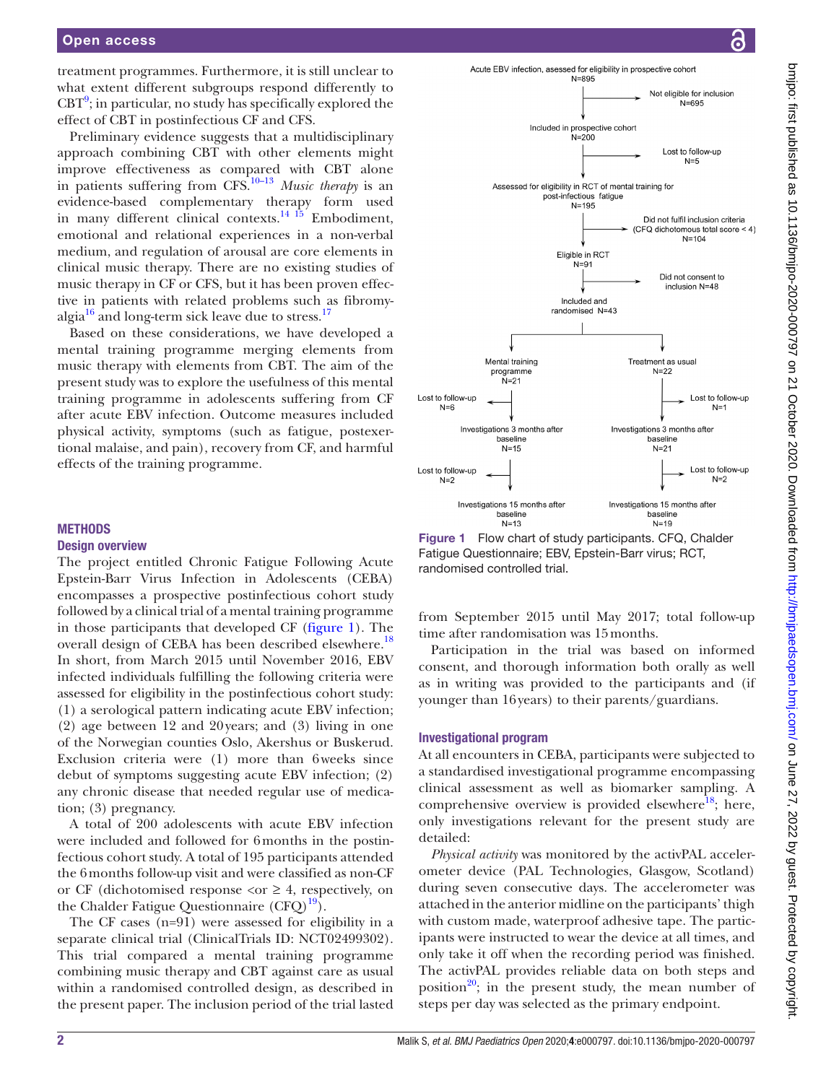treatment programmes. Furthermore, it is still unclear to what extent different subgroups respond differently to  $CBT<sup>9</sup>$  $CBT<sup>9</sup>$  $CBT<sup>9</sup>$ ; in particular, no study has specifically explored the effect of CBT in postinfectious CF and CFS.

Preliminary evidence suggests that a multidisciplinary approach combining CBT with other elements might improve effectiveness as compared with CBT alone in patients suffering from CFS.[10–13](#page-9-4) *Music therapy* is an evidence-based complementary therapy form used in many different clinical contexts.<sup>14 15</sup> Embodiment, emotional and relational experiences in a non-verbal medium, and regulation of arousal are core elements in clinical music therapy. There are no existing studies of music therapy in CF or CFS, but it has been proven effective in patients with related problems such as fibromy-algia<sup>16</sup> and long-term sick leave due to stress.<sup>[17](#page-9-7)</sup>

Based on these considerations, we have developed a mental training programme merging elements from music therapy with elements from CBT. The aim of the present study was to explore the usefulness of this mental training programme in adolescents suffering from CF after acute EBV infection. Outcome measures included physical activity, symptoms (such as fatigue, postexertional malaise, and pain), recovery from CF, and harmful effects of the training programme.

### **METHODS**

#### Design overview

The project entitled Chronic Fatigue Following Acute Epstein-Barr Virus Infection in Adolescents (CEBA) encompasses a prospective postinfectious cohort study followed by a clinical trial of a mental training programme in those participants that developed CF ([figure](#page-1-0) 1). The overall design of CEBA has been described elsewhere.<sup>18</sup> In short, from March 2015 until November 2016, EBV infected individuals fulfilling the following criteria were assessed for eligibility in the postinfectious cohort study: (1) a serological pattern indicating acute EBV infection; (2) age between 12 and 20years; and (3) living in one of the Norwegian counties Oslo, Akershus or Buskerud. Exclusion criteria were (1) more than 6weeks since debut of symptoms suggesting acute EBV infection; (2) any chronic disease that needed regular use of medication; (3) pregnancy.

A total of 200 adolescents with acute EBV infection were included and followed for 6months in the postinfectious cohort study. A total of 195 participants attended the 6months follow-up visit and were classified as non-CF or CF (dichotomised response  $\langle \text{or } \rangle 2$  4, respectively, on the Chalder Fatigue Questionnaire  $(CFQ)^{19}$  $(CFQ)^{19}$  $(CFQ)^{19}$ .

The CF cases (n=91) were assessed for eligibility in a separate clinical trial (ClinicalTrials ID: NCT02499302). This trial compared a mental training programme combining music therapy and CBT against care as usual within a randomised controlled design, as described in the present paper. The inclusion period of the trial lasted



<span id="page-1-0"></span>Figure 1 Flow chart of study participants. CFQ, Chalder Fatigue Questionnaire; EBV, Epstein-Barr virus; RCT, randomised controlled trial.

from September 2015 until May 2017; total follow-up time after randomisation was 15months.

Participation in the trial was based on informed consent, and thorough information both orally as well as in writing was provided to the participants and (if younger than 16years) to their parents/guardians.

#### Investigational program

At all encounters in CEBA, participants were subjected to a standardised investigational programme encompassing clinical assessment as well as biomarker sampling. A comprehensive overview is provided elsewhere $^{18}$ ; here, only investigations relevant for the present study are detailed:

*Physical activity* was monitored by the activPAL accelerometer device (PAL Technologies, Glasgow, Scotland) during seven consecutive days. The accelerometer was attached in the anterior midline on the participants' thigh with custom made, waterproof adhesive tape. The participants were instructed to wear the device at all times, and only take it off when the recording period was finished. The activPAL provides reliable data on both steps and position<sup>[20](#page-9-10)</sup>; in the present study, the mean number of steps per day was selected as the primary endpoint.

႕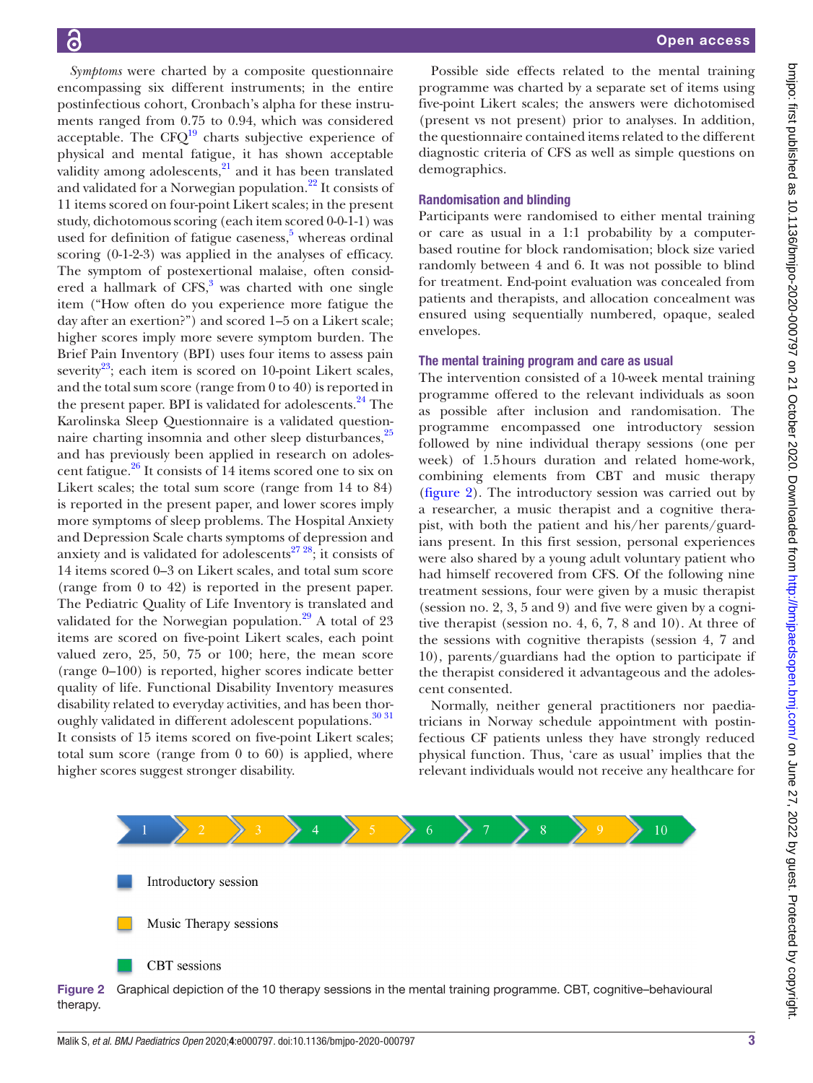*Symptoms* were charted by a composite questionnaire encompassing six different instruments; in the entire postinfectious cohort, Cronbach's alpha for these instruments ranged from 0.75 to 0.94, which was considered acceptable. The  $CFO<sup>19</sup>$  charts subjective experience of physical and mental fatigue, it has shown acceptable validity among adolescents, $^{21}$  $^{21}$  $^{21}$  and it has been translated and validated for a Norwegian population.<sup>22</sup> It consists of 11 items scored on four-point Likert scales; in the present study, dichotomous scoring (each item scored 0-0-1-1) was used for definition of fatigue caseness,<sup>[5](#page-8-2)</sup> whereas ordinal scoring (0-1-2-3) was applied in the analyses of efficacy. The symptom of postexertional malaise, often considered a hallmark of  $CFS$ ,<sup>[3](#page-8-1)</sup> was charted with one single item ("How often do you experience more fatigue the day after an exertion?") and scored 1–5 on a Likert scale; higher scores imply more severe symptom burden. The Brief Pain Inventory (BPI) uses four items to assess pain severity<sup>23</sup>; each item is scored on 10-point Likert scales, and the total sum score (range from 0 to 40) is reported in the present paper. BPI is validated for adolescents.<sup>[24](#page-9-14)</sup> The Karolinska Sleep Questionnaire is a validated questionnaire charting insomnia and other sleep disturbances,<sup>25</sup> and has previously been applied in research on adolescent fatigue[.26](#page-9-16) It consists of 14 items scored one to six on Likert scales; the total sum score (range from 14 to 84) is reported in the present paper, and lower scores imply more symptoms of sleep problems. The Hospital Anxiety and Depression Scale charts symptoms of depression and anxiety and is validated for adolescents<sup>27</sup> <sup>28</sup>; it consists of 14 items scored 0–3 on Likert scales, and total sum score (range from 0 to 42) is reported in the present paper. The Pediatric Quality of Life Inventory is translated and validated for the Norwegian population.<sup>29</sup> A total of 23 items are scored on five-point Likert scales, each point valued zero, 25, 50, 75 or 100; here, the mean score (range 0–100) is reported, higher scores indicate better quality of life. Functional Disability Inventory measures disability related to everyday activities, and has been thor-oughly validated in different adolescent populations.<sup>[30 31](#page-9-19)</sup> It consists of 15 items scored on five-point Likert scales; total sum score (range from 0 to 60) is applied, where higher scores suggest stronger disability.

Possible side effects related to the mental training programme was charted by a separate set of items using five-point Likert scales; the answers were dichotomised (present vs not present) prior to analyses. In addition, the questionnaire contained items related to the different diagnostic criteria of CFS as well as simple questions on demographics.

# Randomisation and blinding

Participants were randomised to either mental training or care as usual in a 1:1 probability by a computerbased routine for block randomisation; block size varied randomly between 4 and 6. It was not possible to blind for treatment. End-point evaluation was concealed from patients and therapists, and allocation concealment was ensured using sequentially numbered, opaque, sealed envelopes.

### The mental training program and care as usual

The intervention consisted of a 10-week mental training programme offered to the relevant individuals as soon as possible after inclusion and randomisation. The programme encompassed one introductory session followed by nine individual therapy sessions (one per week) of 1.5hours duration and related home-work, combining elements from CBT and music therapy [\(figure](#page-2-0) 2). The introductory session was carried out by a researcher, a music therapist and a cognitive therapist, with both the patient and his/her parents/guardians present. In this first session, personal experiences were also shared by a young adult voluntary patient who had himself recovered from CFS. Of the following nine treatment sessions, four were given by a music therapist (session no. 2, 3, 5 and 9) and five were given by a cognitive therapist (session no. 4, 6, 7, 8 and 10). At three of the sessions with cognitive therapists (session 4, 7 and 10), parents/guardians had the option to participate if the therapist considered it advantageous and the adolescent consented.

Normally, neither general practitioners nor paediatricians in Norway schedule appointment with postinfectious CF patients unless they have strongly reduced physical function. Thus, 'care as usual' implies that the relevant individuals would not receive any healthcare for

<span id="page-2-0"></span>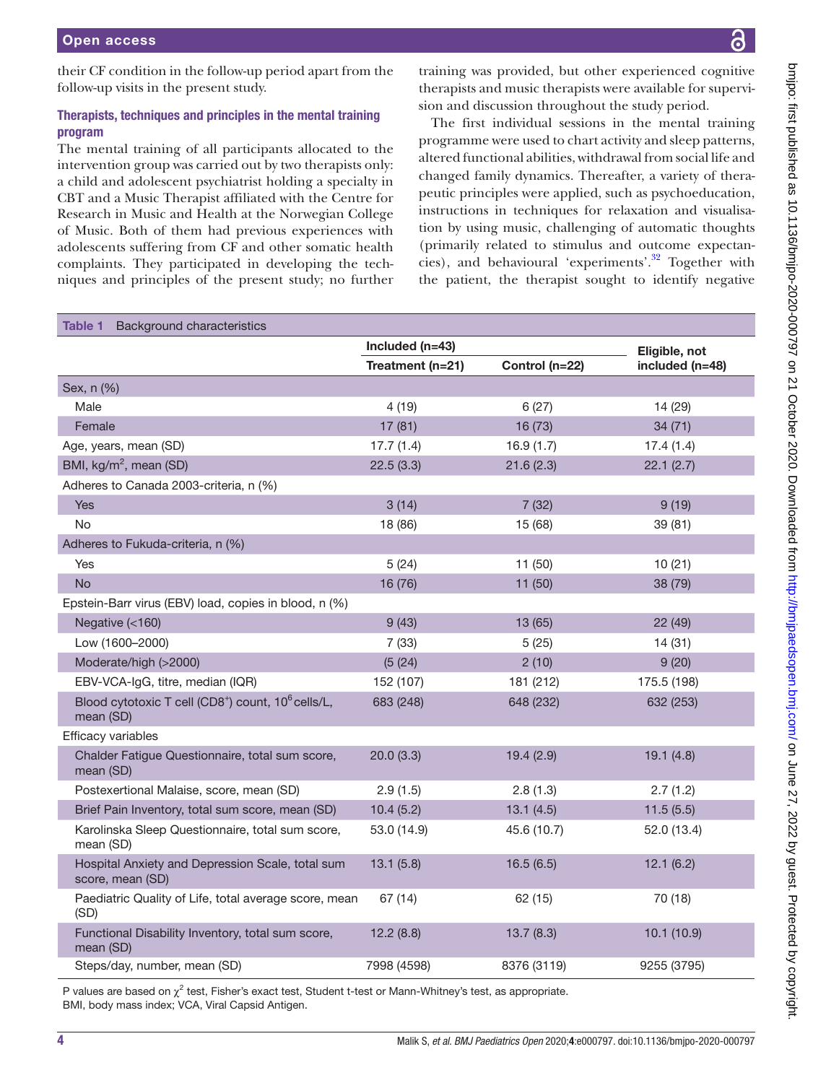their CF condition in the follow-up period apart from the follow-up visits in the present study.

# Therapists, techniques and principles in the mental training program

The mental training of all participants allocated to the intervention group was carried out by two therapists only: a child and adolescent psychiatrist holding a specialty in CBT and a Music Therapist affiliated with the Centre for Research in Music and Health at the Norwegian College of Music. Both of them had previous experiences with adolescents suffering from CF and other somatic health complaints. They participated in developing the techniques and principles of the present study; no further training was provided, but other experienced cognitive therapists and music therapists were available for supervision and discussion throughout the study period.

The first individual sessions in the mental training programme were used to chart activity and sleep patterns, altered functional abilities, withdrawal from social life and changed family dynamics. Thereafter, a variety of therapeutic principles were applied, such as psychoeducation, instructions in techniques for relaxation and visualisation by using music, challenging of automatic thoughts (primarily related to stimulus and outcome expectancies), and behavioural 'experiments'. $32$  Together with the patient, the therapist sought to identify negative

<span id="page-3-0"></span>

| <b>Background characteristics</b><br>Table 1                                            |                   |                |                 |
|-----------------------------------------------------------------------------------------|-------------------|----------------|-----------------|
|                                                                                         | Included $(n=43)$ | Eligible, not  |                 |
|                                                                                         | Treatment (n=21)  | Control (n=22) | included (n=48) |
| Sex, n (%)                                                                              |                   |                |                 |
| Male                                                                                    | 4(19)             | 6(27)          | 14 (29)         |
| Female                                                                                  | 17(81)            | 16 (73)        | 34 (71)         |
| Age, years, mean (SD)                                                                   | 17.7(1.4)         | 16.9(1.7)      | 17.4(1.4)       |
| BMI, kg/m <sup>2</sup> , mean (SD)                                                      | 22.5(3.3)         | 21.6(2.3)      | 22.1(2.7)       |
| Adheres to Canada 2003-criteria, n (%)                                                  |                   |                |                 |
| <b>Yes</b>                                                                              | 3(14)             | 7(32)          | 9(19)           |
| <b>No</b>                                                                               | 18 (86)           | 15 (68)        | 39 (81)         |
| Adheres to Fukuda-criteria, n (%)                                                       |                   |                |                 |
| Yes                                                                                     | 5(24)             | 11 (50)        | 10(21)          |
| <b>No</b>                                                                               | 16 (76)           | 11(50)         | 38 (79)         |
| Epstein-Barr virus (EBV) load, copies in blood, n (%)                                   |                   |                |                 |
| Negative (<160)                                                                         | 9(43)             | 13 (65)        | 22 (49)         |
| Low (1600-2000)                                                                         | 7(33)             | 5(25)          | 14(31)          |
| Moderate/high (>2000)                                                                   | (5(24)            | 2(10)          | 9(20)           |
| EBV-VCA-IgG, titre, median (IQR)                                                        | 152 (107)         | 181 (212)      | 175.5 (198)     |
| Blood cytotoxic T cell (CD8 <sup>+</sup> ) count, 10 <sup>6</sup> cells/L,<br>mean (SD) | 683 (248)         | 648 (232)      | 632 (253)       |
| Efficacy variables                                                                      |                   |                |                 |
| Chalder Fatigue Questionnaire, total sum score,<br>mean (SD)                            | 20.0(3.3)         | 19.4(2.9)      | 19.1(4.8)       |
| Postexertional Malaise, score, mean (SD)                                                | 2.9(1.5)          | 2.8(1.3)       | 2.7(1.2)        |
| Brief Pain Inventory, total sum score, mean (SD)                                        | 10.4(5.2)         | 13.1(4.5)      | 11.5(5.5)       |
| Karolinska Sleep Questionnaire, total sum score,<br>mean (SD)                           | 53.0 (14.9)       | 45.6 (10.7)    | 52.0 (13.4)     |
| Hospital Anxiety and Depression Scale, total sum<br>score, mean (SD)                    | 13.1(5.8)         | 16.5(6.5)      | 12.1(6.2)       |
| Paediatric Quality of Life, total average score, mean<br>(SD)                           | 67 (14)           | 62 (15)        | 70 (18)         |
| Functional Disability Inventory, total sum score,<br>mean (SD)                          | 12.2(8.8)         | 13.7(8.3)      | 10.1(10.9)      |
| Steps/day, number, mean (SD)                                                            | 7998 (4598)       | 8376 (3119)    | 9255 (3795)     |
|                                                                                         |                   |                |                 |

P values are based on  $\chi^2$  test, Fisher's exact test, Student t-test or Mann-Whitney's test, as appropriate. BMI, body mass index; VCA, Viral Capsid Antigen.

ဥ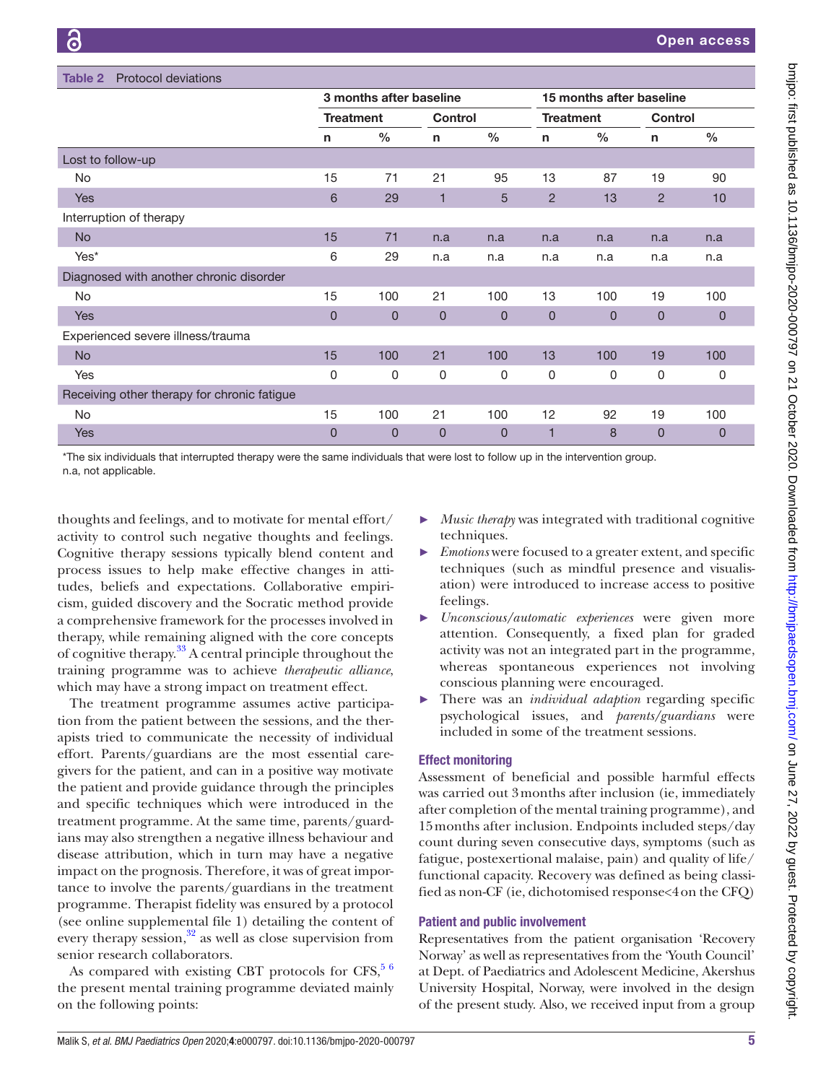<span id="page-4-0"></span>

| <b>Protocol deviations</b><br>Table 2       |                         |                |                |                |                          |               |                |               |
|---------------------------------------------|-------------------------|----------------|----------------|----------------|--------------------------|---------------|----------------|---------------|
|                                             | 3 months after baseline |                |                |                | 15 months after baseline |               |                |               |
|                                             | <b>Treatment</b>        |                | <b>Control</b> |                | <b>Treatment</b>         |               | <b>Control</b> |               |
|                                             | n                       | $\frac{0}{0}$  | $\mathsf{n}$   | $\frac{0}{0}$  | n                        | $\frac{0}{0}$ | n              | $\frac{0}{0}$ |
| Lost to follow-up                           |                         |                |                |                |                          |               |                |               |
| <b>No</b>                                   | 15                      | 71             | 21             | 95             | 13                       | 87            | 19             | 90            |
| <b>Yes</b>                                  | 6                       | 29             | 1              | 5              | $\overline{2}$           | 13            | $\overline{2}$ | 10            |
| Interruption of therapy                     |                         |                |                |                |                          |               |                |               |
| <b>No</b>                                   | 15                      | 71             | n.a            | n.a            | n.a                      | n.a           | n.a            | n.a           |
| Yes*                                        | 6                       | 29             | n.a            | n.a            | n.a                      | n.a           | n.a            | n.a           |
| Diagnosed with another chronic disorder     |                         |                |                |                |                          |               |                |               |
| No                                          | 15                      | 100            | 21             | 100            | 13                       | 100           | 19             | 100           |
| <b>Yes</b>                                  | $\Omega$                | $\mathbf 0$    | $\mathbf 0$    | 0              | $\overline{0}$           | $\Omega$      | $\overline{0}$ | $\mathbf{0}$  |
| Experienced severe illness/trauma           |                         |                |                |                |                          |               |                |               |
| <b>No</b>                                   | 15                      | 100            | 21             | 100            | 13                       | 100           | 19             | 100           |
| Yes                                         | $\Omega$                | 0              | 0              | 0              | 0                        | 0             | 0              | $\Omega$      |
| Receiving other therapy for chronic fatigue |                         |                |                |                |                          |               |                |               |
| No                                          | 15                      | 100            | 21             | 100            | 12                       | 92            | 19             | 100           |
| <b>Yes</b>                                  | $\Omega$                | $\overline{0}$ | $\overline{0}$ | $\overline{0}$ | 1                        | 8             | $\overline{0}$ | $\Omega$      |

\*The six individuals that interrupted therapy were the same individuals that were lost to follow up in the intervention group. n.a, not applicable.

thoughts and feelings, and to motivate for mental effort/ activity to control such negative thoughts and feelings. Cognitive therapy sessions typically blend content and process issues to help make effective changes in attitudes, beliefs and expectations. Collaborative empiricism, guided discovery and the Socratic method provide a comprehensive framework for the processes involved in therapy, while remaining aligned with the core concepts of cognitive therapy[.33](#page-9-21) A central principle throughout the training programme was to achieve *therapeutic alliance*, which may have a strong impact on treatment effect.

The treatment programme assumes active participation from the patient between the sessions, and the therapists tried to communicate the necessity of individual effort. Parents/guardians are the most essential caregivers for the patient, and can in a positive way motivate the patient and provide guidance through the principles and specific techniques which were introduced in the treatment programme. At the same time, parents/guardians may also strengthen a negative illness behaviour and disease attribution, which in turn may have a negative impact on the prognosis. Therefore, it was of great importance to involve the parents/guardians in the treatment programme. Therapist fidelity was ensured by a protocol (see [online supplemental file 1\)](https://dx.doi.org/10.1136/bmjpo-2020-000797) detailing the content of every therapy session, $3^2$  as well as close supervision from senior research collaborators.

As compared with existing CBT protocols for  $CFS$ ,<sup>[5 6](#page-8-2)</sup> the present mental training programme deviated mainly on the following points:

- *Music therapy* was integrated with traditional cognitive techniques.
- ► *Emotions* were focused to a greater extent, and specific techniques (such as mindful presence and visualisation) were introduced to increase access to positive feelings.
- ► *Unconscious/automatic experiences* were given more attention. Consequently, a fixed plan for graded activity was not an integrated part in the programme, whereas spontaneous experiences not involving conscious planning were encouraged.
- ► There was an *individual adaption* regarding specific psychological issues, and *parents/guardians* were included in some of the treatment sessions.

# Effect monitoring

Assessment of beneficial and possible harmful effects was carried out 3months after inclusion (ie, immediately after completion of the mental training programme), and 15months after inclusion. Endpoints included steps/day count during seven consecutive days, symptoms (such as fatigue, postexertional malaise, pain) and quality of life/ functional capacity. Recovery was defined as being classified as non-CF (ie, dichotomised response<4on the CFQ)

# Patient and public involvement

Representatives from the patient organisation 'Recovery Norway' as well as representatives from the 'Youth Council' at Dept. of Paediatrics and Adolescent Medicine, Akershus University Hospital, Norway, were involved in the design of the present study. Also, we received input from a group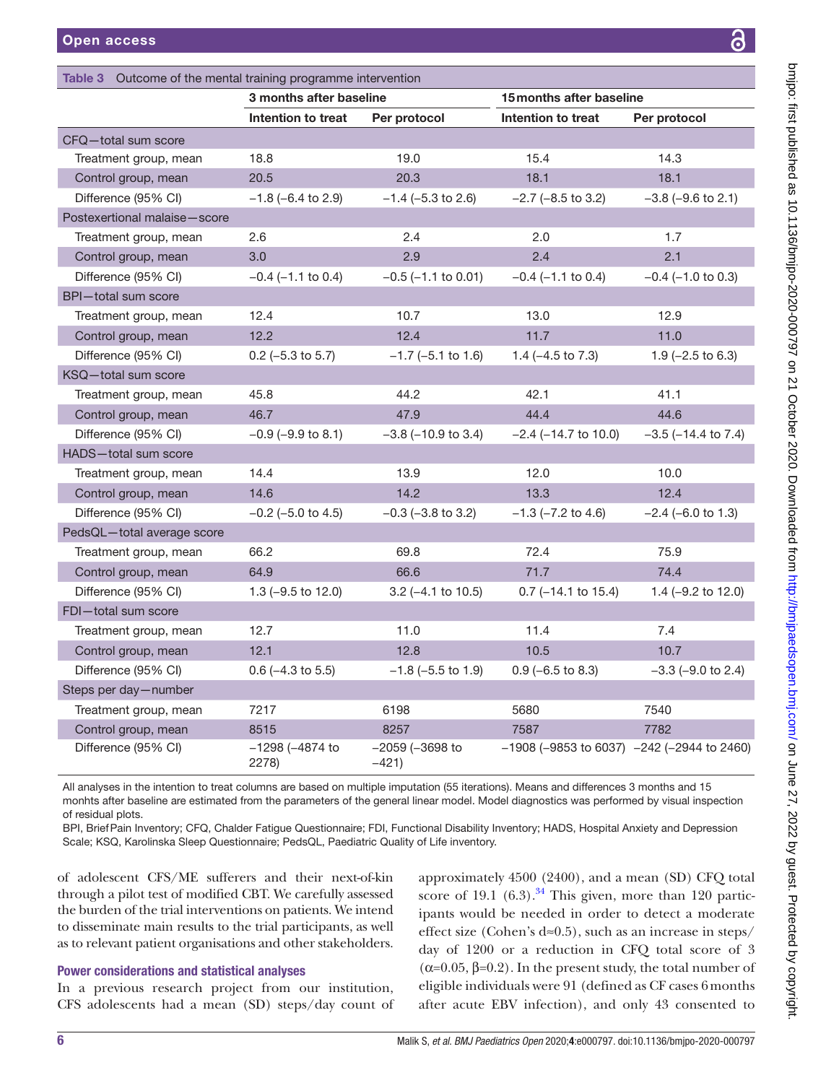|  | Table 3 Outcome of the mental training programme intervention |
|--|---------------------------------------------------------------|

<span id="page-5-0"></span>

|                              | 3 months after baseline       |                               | 15 months after baseline                     |                          |  |  |
|------------------------------|-------------------------------|-------------------------------|----------------------------------------------|--------------------------|--|--|
|                              | Intention to treat            | Per protocol                  | Intention to treat                           | Per protocol             |  |  |
| CFQ-total sum score          |                               |                               |                                              |                          |  |  |
| Treatment group, mean        | 18.8                          | 19.0                          | 15.4                                         | 14.3                     |  |  |
| Control group, mean          | 20.5                          | 20.3                          | 18.1                                         | 18.1                     |  |  |
| Difference (95% CI)          | $-1.8$ (-6.4 to 2.9)          | $-1.4$ ( $-5.3$ to 2.6)       | $-2.7$ ( $-8.5$ to 3.2)                      | $-3.8$ ( $-9.6$ to 2.1)  |  |  |
| Postexertional malaise-score |                               |                               |                                              |                          |  |  |
| Treatment group, mean        | 2.6                           | 2.4                           | 2.0                                          | 1.7                      |  |  |
| Control group, mean          | 3.0                           | 2.9                           | 2.4                                          | 2.1                      |  |  |
| Difference (95% CI)          | $-0.4$ ( $-1.1$ to 0.4)       | $-0.5$ ( $-1.1$ to 0.01)      | $-0.4$ ( $-1.1$ to 0.4)                      | $-0.4$ ( $-1.0$ to 0.3)  |  |  |
| BPI-total sum score          |                               |                               |                                              |                          |  |  |
| Treatment group, mean        | 12.4                          | 10.7                          | 13.0                                         | 12.9                     |  |  |
| Control group, mean          | 12.2                          | 12.4                          | 11.7                                         | 11.0                     |  |  |
| Difference (95% CI)          | $0.2$ (-5.3 to 5.7)           | $-1.7$ ( $-5.1$ to 1.6)       | 1.4 $(-4.5 \text{ to } 7.3)$                 | 1.9 ( $-2.5$ to 6.3)     |  |  |
| KSQ-total sum score          |                               |                               |                                              |                          |  |  |
| Treatment group, mean        | 45.8                          | 44.2                          | 42.1                                         | 41.1                     |  |  |
| Control group, mean          | 46.7                          | 47.9                          | 44.4                                         | 44.6                     |  |  |
| Difference (95% CI)          | $-0.9$ ( $-9.9$ to 8.1)       | $-3.8$ ( $-10.9$ to 3.4)      | $-2.4$ ( $-14.7$ to 10.0)                    | $-3.5$ ( $-14.4$ to 7.4) |  |  |
| HADS-total sum score         |                               |                               |                                              |                          |  |  |
| Treatment group, mean        | 14.4                          | 13.9                          | 12.0                                         | 10.0                     |  |  |
| Control group, mean          | 14.6                          | 14.2                          | 13.3                                         | 12.4                     |  |  |
| Difference (95% CI)          | $-0.2$ ( $-5.0$ to 4.5)       | $-0.3$ ( $-3.8$ to 3.2)       | $-1.3$ ( $-7.2$ to 4.6)                      | $-2.4$ ( $-6.0$ to 1.3)  |  |  |
| PedsQL-total average score   |                               |                               |                                              |                          |  |  |
| Treatment group, mean        | 66.2                          | 69.8                          | 72.4                                         | 75.9                     |  |  |
| Control group, mean          | 64.9                          | 66.6                          | 71.7                                         | 74.4                     |  |  |
| Difference (95% CI)          | 1.3 $(-9.5 \text{ to } 12.0)$ | $3.2$ (-4.1 to 10.5)          | $0.7$ (-14.1 to 15.4)                        | 1.4 (-9.2 to 12.0)       |  |  |
| FDI-total sum score          |                               |                               |                                              |                          |  |  |
| Treatment group, mean        | 12.7                          | 11.0                          | 11.4                                         | 7.4                      |  |  |
| Control group, mean          | 12.1                          | 12.8                          | 10.5                                         | 10.7                     |  |  |
| Difference (95% CI)          | $0.6$ (-4.3 to 5.5)           | $-1.8$ ( $-5.5$ to 1.9)       | $0.9$ (-6.5 to 8.3)                          | $-3.3$ ( $-9.0$ to 2.4)  |  |  |
| Steps per day-number         |                               |                               |                                              |                          |  |  |
| Treatment group, mean        | 7217                          | 6198                          | 5680                                         | 7540                     |  |  |
| Control group, mean          | 8515                          | 8257                          | 7587                                         | 7782                     |  |  |
| Difference (95% CI)          | $-1298 (-4874 to$<br>2278)    | $-2059$ ( $-3698$ to<br>-421) | $-1908$ (-9853 to 6037) -242 (-2944 to 2460) |                          |  |  |

All analyses in the intention to treat columns are based on multiple imputation (55 iterations). Means and differences 3 months and 15 monhts after baseline are estimated from the parameters of the general linear model. Model diagnostics was performed by visual inspection of residual plots.

BPI, BriefPain Inventory; CFQ, Chalder Fatigue Questionnaire; FDI, Functional Disability Inventory; HADS, Hospital Anxiety and Depression Scale; KSQ, Karolinska Sleep Questionnaire; PedsQL, Paediatric Quality of Life inventory.

of adolescent CFS/ME sufferers and their next-of-kin through a pilot test of modified CBT. We carefully assessed the burden of the trial interventions on patients. We intend to disseminate main results to the trial participants, as well as to relevant patient organisations and other stakeholders.

# Power considerations and statistical analyses

In a previous research project from our institution, CFS adolescents had a mean (SD) steps/day count of

approximately 4500 (2400), and a mean (SD) CFQ total score of 19.1  $(6.3)$ .<sup>34</sup> This given, more than 120 participants would be needed in order to detect a moderate effect size (Cohen's d≈0.5), such as an increase in steps/ day of 1200 or a reduction in CFQ total score of 3 (α=0.05, β=0.2). In the present study, the total number of eligible individuals were 91 (defined as CF cases 6months after acute EBV infection), and only 43 consented to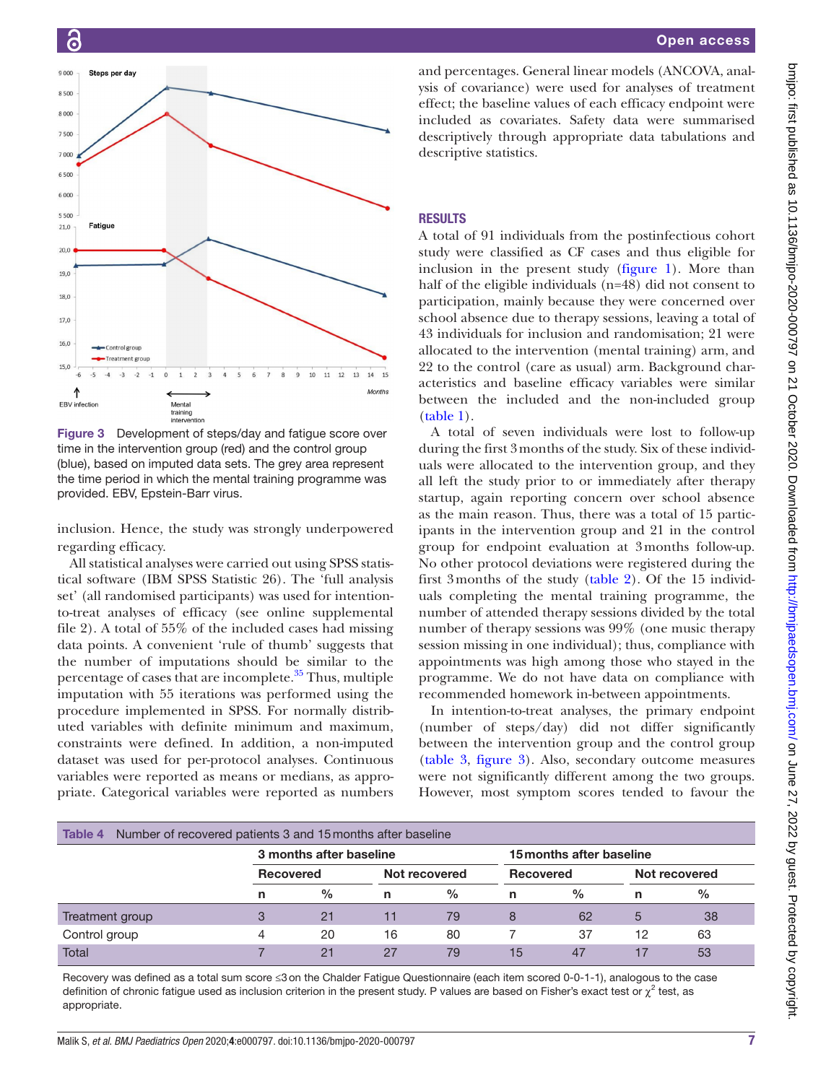

<span id="page-6-0"></span>Figure 3 Development of steps/day and fatigue score over time in the intervention group (red) and the control group (blue), based on imputed data sets. The grey area represent the time period in which the mental training programme was provided. EBV, Epstein-Barr virus.

inclusion. Hence, the study was strongly underpowered regarding efficacy.

All statistical analyses were carried out using SPSS statistical software (IBM SPSS Statistic 26). The 'full analysis set' (all randomised participants) was used for intentionto-treat analyses of efficacy (see [online supplemental](https://dx.doi.org/10.1136/bmjpo-2020-000797) [file 2](https://dx.doi.org/10.1136/bmjpo-2020-000797)). A total of 55% of the included cases had missing data points. A convenient 'rule of thumb' suggests that the number of imputations should be similar to the percentage of cases that are incomplete[.35](#page-9-23) Thus, multiple imputation with 55 iterations was performed using the procedure implemented in SPSS. For normally distributed variables with definite minimum and maximum, constraints were defined. In addition, a non-imputed dataset was used for per-protocol analyses. Continuous variables were reported as means or medians, as appropriate. Categorical variables were reported as numbers

and percentages. General linear models (ANCOVA, analysis of covariance) were used for analyses of treatment effect; the baseline values of each efficacy endpoint were included as covariates. Safety data were summarised descriptively through appropriate data tabulations and descriptive statistics.

# RESULTS

A total of 91 individuals from the postinfectious cohort study were classified as CF cases and thus eligible for inclusion in the present study ([figure](#page-1-0) 1). More than half of the eligible individuals (n=48) did not consent to participation, mainly because they were concerned over school absence due to therapy sessions, leaving a total of 43 individuals for inclusion and randomisation; 21 were allocated to the intervention (mental training) arm, and 22 to the control (care as usual) arm. Background characteristics and baseline efficacy variables were similar between the included and the non-included group [\(table](#page-3-0) 1).

A total of seven individuals were lost to follow-up during the first 3months of the study. Six of these individuals were allocated to the intervention group, and they all left the study prior to or immediately after therapy startup, again reporting concern over school absence as the main reason. Thus, there was a total of 15 participants in the intervention group and 21 in the control group for endpoint evaluation at 3months follow-up. No other protocol deviations were registered during the first 3months of the study [\(table](#page-4-0) 2). Of the 15 individuals completing the mental training programme, the number of attended therapy sessions divided by the total number of therapy sessions was 99% (one music therapy session missing in one individual); thus, compliance with appointments was high among those who stayed in the programme. We do not have data on compliance with recommended homework in-between appointments.

In intention-to-treat analyses, the primary endpoint (number of steps/day) did not differ significantly between the intervention group and the control group [\(table](#page-5-0) 3, [figure](#page-6-0) 3). Also, secondary outcome measures were not significantly different among the two groups. However, most symptom scores tended to favour the

<span id="page-6-1"></span>

| Number of recovered patients 3 and 15 months after baseline<br>Table 4 |                         |                |    |               |                          |    |               |               |  |
|------------------------------------------------------------------------|-------------------------|----------------|----|---------------|--------------------------|----|---------------|---------------|--|
|                                                                        | 3 months after baseline |                |    |               | 15 months after baseline |    |               |               |  |
|                                                                        | <b>Recovered</b>        | Not recovered  |    |               | <b>Recovered</b>         |    | Not recovered |               |  |
|                                                                        | n                       | $\frac{0}{0}$  | n  | $\frac{0}{0}$ | n                        | %  | n             | $\frac{0}{0}$ |  |
| Treatment group                                                        |                         | 21             |    | 79            | 8                        | 62 | $\mathbf b$   | 38            |  |
| Control group                                                          | Δ                       | 20             | 16 | 80            |                          | 37 | 12            | 63            |  |
| Total                                                                  |                         | 2 <sub>1</sub> | 27 | 79            | 15                       | 47 |               | 53            |  |

Recovery was defined as a total sum score ≤3on the Chalder Fatigue Questionnaire (each item scored 0-0-1-1), analogous to the case definition of chronic fatigue used as inclusion criterion in the present study. P values are based on Fisher's exact test or  $\chi^2$  test, as appropriate.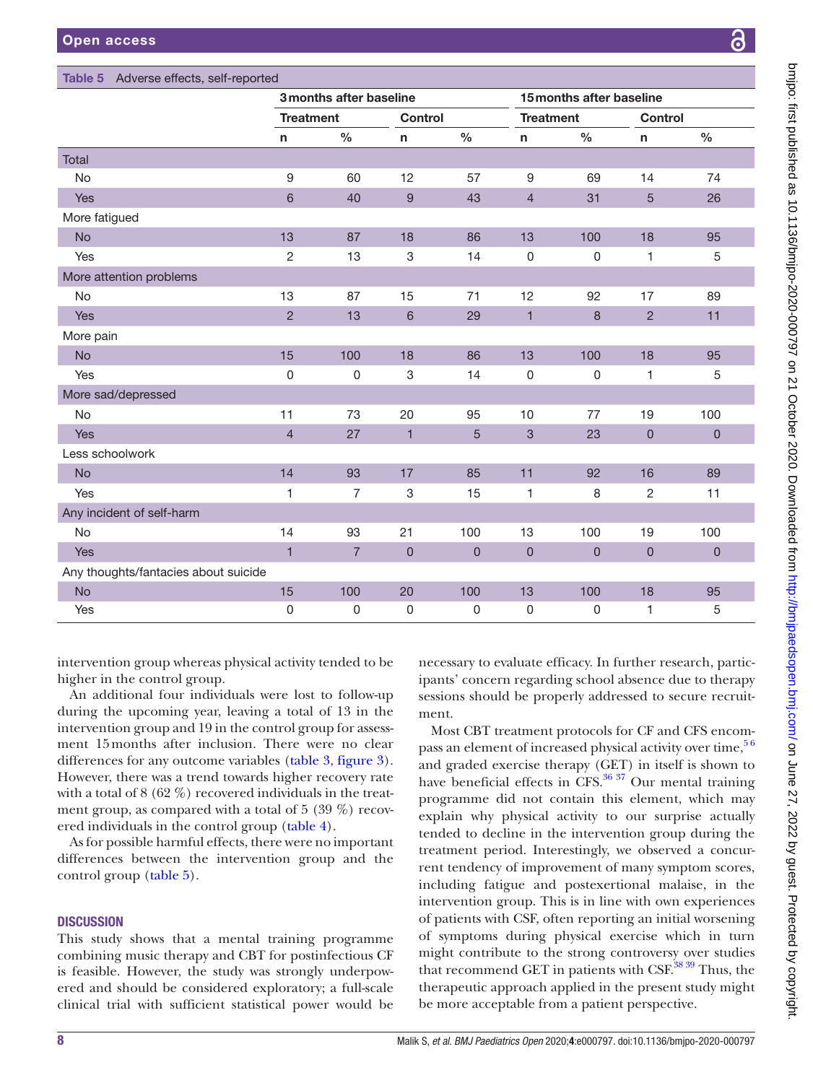<span id="page-7-0"></span>Table 5 Adverse effects, self-reported

|                                      | 3 months after baseline  |                |                           |                | 15 months after baseline |                |                |             |
|--------------------------------------|--------------------------|----------------|---------------------------|----------------|--------------------------|----------------|----------------|-------------|
|                                      | <b>Treatment</b>         |                | <b>Control</b>            |                | <b>Treatment</b>         |                | <b>Control</b> |             |
|                                      | n                        | $\frac{0}{0}$  | n                         | $\%$           | n                        | $\frac{0}{0}$  | $\mathsf{n}$   | $\%$        |
| Total                                |                          |                |                           |                |                          |                |                |             |
| <b>No</b>                            | $\mathsf g$              | 60             | 12                        | 57             | $\boldsymbol{9}$         | 69             | 14             | 74          |
| Yes                                  | 6                        | 40             | $\overline{9}$            | 43             | $\overline{4}$           | 31             | 5              | 26          |
| More fatigued                        |                          |                |                           |                |                          |                |                |             |
| <b>No</b>                            | 13                       | 87             | 18                        | 86             | 13                       | 100            | 18             | 95          |
| Yes                                  | $\overline{2}$           | 13             | 3                         | 14             | $\mathsf 0$              | $\mathbf 0$    | 1              | 5           |
| More attention problems              |                          |                |                           |                |                          |                |                |             |
| <b>No</b>                            | 13                       | 87             | 15                        | 71             | 12                       | 92             | 17             | 89          |
| Yes                                  | $\overline{2}$           | 13             | $6\phantom{1}$            | 29             | $\mathbf{1}$             | $\delta$       | $\overline{2}$ | 11          |
| More pain                            |                          |                |                           |                |                          |                |                |             |
| <b>No</b>                            | 15                       | 100            | 18                        | 86             | 13                       | 100            | 18             | 95          |
| Yes                                  | $\mathsf 0$              | $\mathbf 0$    | $\ensuremath{\mathsf{3}}$ | 14             | $\mathsf 0$              | $\mathbf 0$    | 1              | 5           |
| More sad/depressed                   |                          |                |                           |                |                          |                |                |             |
| No                                   | 11                       | 73             | 20                        | 95             | 10                       | 77             | 19             | 100         |
| Yes                                  | $\overline{\mathcal{L}}$ | 27             | $\blacksquare$            | 5              | 3                        | 23             | $\bf 0$        | $\mathbf 0$ |
| Less schoolwork                      |                          |                |                           |                |                          |                |                |             |
| <b>No</b>                            | 14                       | 93             | 17                        | 85             | 11                       | 92             | 16             | 89          |
| Yes                                  | 1                        | $\overline{7}$ | 3                         | 15             | 1                        | 8              | $\overline{c}$ | 11          |
| Any incident of self-harm            |                          |                |                           |                |                          |                |                |             |
| No                                   | 14                       | 93             | 21                        | 100            | 13                       | 100            | 19             | 100         |
| Yes                                  | $\mathbf{1}$             | $\overline{7}$ | $\mathbf{0}$              | $\overline{0}$ | $\mathbf 0$              | $\overline{0}$ | $\mathbf{0}$   | $\mathbf 0$ |
| Any thoughts/fantacies about suicide |                          |                |                           |                |                          |                |                |             |
| <b>No</b>                            | 15                       | 100            | 20                        | 100            | 13                       | 100            | 18             | 95          |
| Yes                                  | 0                        | $\mathbf 0$    | $\mathsf 0$               | $\mathbf 0$    | 0                        | $\mathbf 0$    | 1              | 5           |

intervention group whereas physical activity tended to be higher in the control group.

An additional four individuals were lost to follow-up during the upcoming year, leaving a total of 13 in the intervention group and 19 in the control group for assessment 15months after inclusion. There were no clear differences for any outcome variables ([table](#page-5-0) 3, [figure](#page-6-0) 3). However, there was a trend towards higher recovery rate with a total of 8 (62 %) recovered individuals in the treatment group, as compared with a total of 5 (39 %) recovered individuals in the control group [\(table](#page-6-1) 4).

As for possible harmful effects, there were no important differences between the intervention group and the control group ([table](#page-7-0) 5).

# **DISCUSSION**

This study shows that a mental training programme combining music therapy and CBT for postinfectious CF is feasible. However, the study was strongly underpowered and should be considered exploratory; a full-scale clinical trial with sufficient statistical power would be

necessary to evaluate efficacy. In further research, participants' concern regarding school absence due to therapy sessions should be properly addressed to secure recruitment.

Most CBT treatment protocols for CF and CFS encompass an element of increased physical activity over time,  $5<sup>6</sup>$ and graded exercise therapy (GET) in itself is shown to have beneficial effects in CFS. $36\,37$  Our mental training programme did not contain this element, which may explain why physical activity to our surprise actually tended to decline in the intervention group during the treatment period. Interestingly, we observed a concurrent tendency of improvement of many symptom scores, including fatigue and postexertional malaise, in the intervention group. This is in line with own experiences of patients with CSF, often reporting an initial worsening of symptoms during physical exercise which in turn might contribute to the strong controversy over studies that recommend GET in patients with  $CSF<sup>3839</sup>$  Thus, the therapeutic approach applied in the present study might be more acceptable from a patient perspective.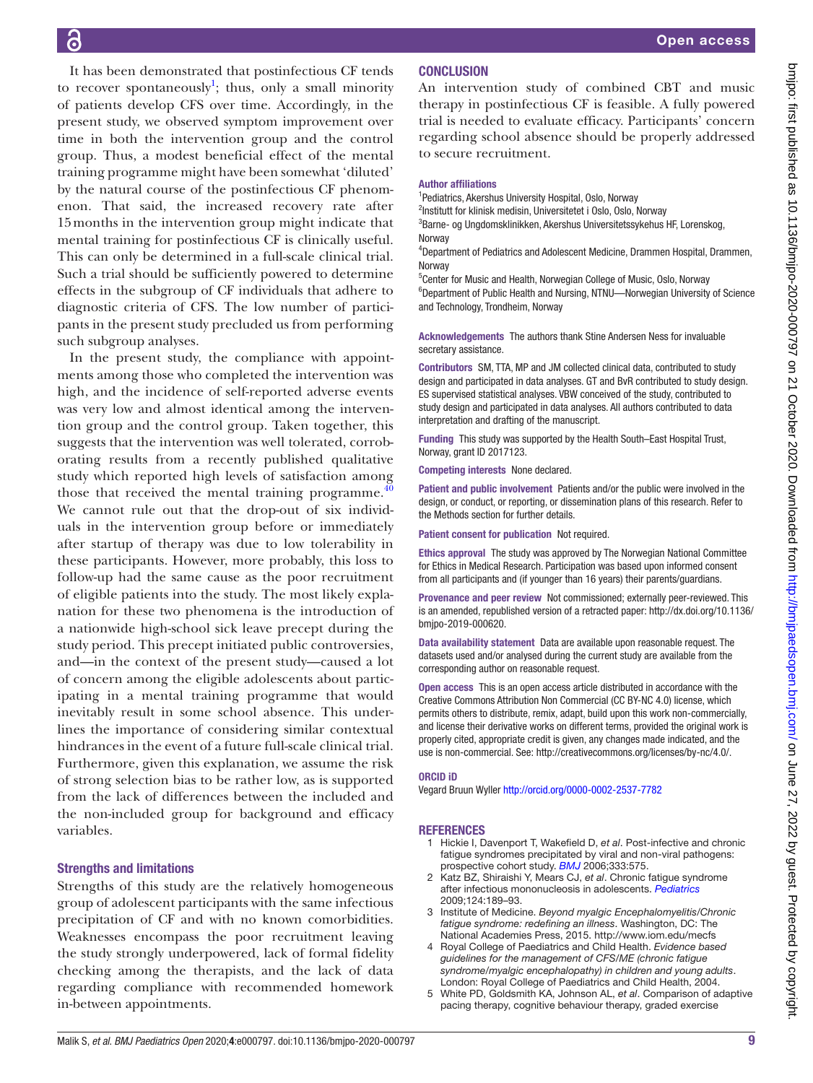It has been demonstrated that postinfectious CF tends to recover spontaneously<sup>[1](#page-8-0)</sup>; thus, only a small minority of patients develop CFS over time. Accordingly, in the present study, we observed symptom improvement over time in both the intervention group and the control group. Thus, a modest beneficial effect of the mental training programme might have been somewhat 'diluted' by the natural course of the postinfectious CF phenomenon. That said, the increased recovery rate after 15months in the intervention group might indicate that mental training for postinfectious CF is clinically useful. This can only be determined in a full-scale clinical trial. Such a trial should be sufficiently powered to determine effects in the subgroup of CF individuals that adhere to diagnostic criteria of CFS. The low number of participants in the present study precluded us from performing such subgroup analyses.

In the present study, the compliance with appointments among those who completed the intervention was high, and the incidence of self-reported adverse events was very low and almost identical among the intervention group and the control group. Taken together, this suggests that the intervention was well tolerated, corroborating results from a recently published qualitative study which reported high levels of satisfaction among those that received the mental training programme. $4$ We cannot rule out that the drop-out of six individuals in the intervention group before or immediately after startup of therapy was due to low tolerability in these participants. However, more probably, this loss to follow-up had the same cause as the poor recruitment of eligible patients into the study. The most likely explanation for these two phenomena is the introduction of a nationwide high-school sick leave precept during the study period. This precept initiated public controversies, and—in the context of the present study—caused a lot of concern among the eligible adolescents about participating in a mental training programme that would inevitably result in some school absence. This underlines the importance of considering similar contextual hindrances in the event of a future full-scale clinical trial. Furthermore, given this explanation, we assume the risk of strong selection bias to be rather low, as is supported from the lack of differences between the included and the non-included group for background and efficacy variables.

### Strengths and limitations

Strengths of this study are the relatively homogeneous group of adolescent participants with the same infectious precipitation of CF and with no known comorbidities. Weaknesses encompass the poor recruitment leaving the study strongly underpowered, lack of formal fidelity checking among the therapists, and the lack of data regarding compliance with recommended homework in-between appointments.

# **CONCLUSION**

An intervention study of combined CBT and music therapy in postinfectious CF is feasible. A fully powered trial is needed to evaluate efficacy. Participants' concern regarding school absence should be properly addressed to secure recruitment.

#### Author affiliations

<sup>1</sup> Pediatrics, Akershus University Hospital, Oslo, Norway

<sup>2</sup>Institutt for klinisk medisin, Universitetet i Oslo, Oslo, Norway

3 Barne- og Ungdomsklinikken, Akershus Universitetssykehus HF, Lorenskog, **Norway** 

4 Department of Pediatrics and Adolescent Medicine, Drammen Hospital, Drammen, Norway

5 Center for Music and Health, Norwegian College of Music, Oslo, Norway <sup>6</sup>Department of Public Health and Nursing, NTNU-Norwegian University of Science and Technology, Trondheim, Norway

Acknowledgements The authors thank Stine Andersen Ness for invaluable secretary assistance.

Contributors SM, TTA, MP and JM collected clinical data, contributed to study design and participated in data analyses. GT and BvR contributed to study design. ES supervised statistical analyses. VBW conceived of the study, contributed to study design and participated in data analyses. All authors contributed to data interpretation and drafting of the manuscript.

Funding This study was supported by the Health South–East Hospital Trust, Norway, grant ID 2017123.

Competing interests None declared.

Patient and public involvement Patients and/or the public were involved in the design, or conduct, or reporting, or dissemination plans of this research. Refer to the Methods section for further details.

Patient consent for publication Not required.

Ethics approval The study was approved by The Norwegian National Committee for Ethics in Medical Research. Participation was based upon informed consent from all participants and (if younger than 16 years) their parents/guardians.

Provenance and peer review Not commissioned; externally peer-reviewed. This is an amended, republished version of a retracted paper: [http://dx.doi.org/10.1136/](http://dx.doi.org/10.1136/bmjpo-2019-000620) [bmjpo-2019-000620](http://dx.doi.org/10.1136/bmjpo-2019-000620).

Data availability statement Data are available upon reasonable request. The datasets used and/or analysed during the current study are available from the corresponding author on reasonable request.

Open access This is an open access article distributed in accordance with the Creative Commons Attribution Non Commercial (CC BY-NC 4.0) license, which permits others to distribute, remix, adapt, build upon this work non-commercially, and license their derivative works on different terms, provided the original work is properly cited, appropriate credit is given, any changes made indicated, and the use is non-commercial. See:<http://creativecommons.org/licenses/by-nc/4.0/>.

#### ORCID iD

Vegard Bruun Wyller <http://orcid.org/0000-0002-2537-7782>

### **REFERENCES**

- <span id="page-8-0"></span>1 Hickie I, Davenport T, Wakefield D, *et al*. Post-infective and chronic fatigue syndromes precipitated by viral and non-viral pathogens: prospective cohort study. *[BMJ](http://dx.doi.org/10.1136/bmj.38933.585764.AE)* 2006;333:575.
- 2 Katz BZ, Shiraishi Y, Mears CJ, *et al*. Chronic fatigue syndrome after infectious mononucleosis in adolescents. *[Pediatrics](http://dx.doi.org/10.1542/peds.2008-1879)* 2009;124:189–93.
- <span id="page-8-1"></span>3 Institute of Medicine. *Beyond myalgic Encephalomyelitis/Chronic fatigue syndrome: redefining an illness*. Washington, DC: The National Academies Press, 2015. <http://www.iom.edu/mecfs>
- 4 Royal College of Paediatrics and Child Health. *Evidence based guidelines for the management of CFS/ME (chronic fatigue syndrome/myalgic encephalopathy) in children and young adults*. London: Royal College of Paediatrics and Child Health, 2004.
- <span id="page-8-2"></span>5 White PD, Goldsmith KA, Johnson AL, *et al*. Comparison of adaptive pacing therapy, cognitive behaviour therapy, graded exercise